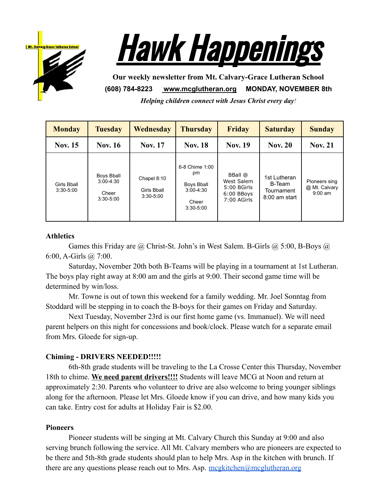



**Our weekly newsletter from Mt. Calvary-Grace Lutheran School (608) 784-8223 [www.mcglutheran.org](http://www.mcglutheran.org/) MONDAY, NOVEMBER 8th**

*Helping children connect with Jesus Christ every day!*

| <b>Monday</b>                | Tuesday                                                      | Wednesday                                          | <b>Thursday</b>                                                               | <b>Friday</b>                                                       | <b>Saturday</b>                                         | <b>Sunday</b>                               |
|------------------------------|--------------------------------------------------------------|----------------------------------------------------|-------------------------------------------------------------------------------|---------------------------------------------------------------------|---------------------------------------------------------|---------------------------------------------|
| <b>Nov. 15</b>               | <b>Nov. 16</b>                                               | <b>Nov. 17</b>                                     | <b>Nov. 18</b>                                                                | <b>Nov. 19</b>                                                      | <b>Nov. 20</b>                                          | <b>Nov. 21</b>                              |
| Girls Bball<br>$3:30 - 5:00$ | <b>Boys Bball</b><br>$3:00 - 4:30$<br>Cheer<br>$3:30 - 5:00$ | Chapel 8:10<br><b>Girls Bball</b><br>$3:30 - 5:00$ | 6-8 Chime 1:00<br>pm<br>Boys Bball<br>$3:00 - 4:30$<br>Cheer<br>$3:30 - 5:00$ | BBall @<br>West Salem<br>5:00 BGirls<br>$6:00$ BBoys<br>7:00 AGirls | 1st Lutheran<br>B-Team<br>Tournament<br>$8:00$ am start | Pioneers sing<br>@ Mt. Calvary<br>$9:00$ am |

### **Athletics**

Games this Friday are @ Christ-St. John's in West Salem. B-Girls @ 5:00, B-Boys @ 6:00, A-Girls @ 7:00.

Saturday, November 20th both B-Teams will be playing in a tournament at 1st Lutheran. The boys play right away at 8:00 am and the girls at 9:00. Their second game time will be determined by win/loss.

Mr. Towne is out of town this weekend for a family wedding. Mr. Joel Sonntag from Stoddard will be stepping in to coach the B-boys for their games on Friday and Saturday.

Next Tuesday, November 23rd is our first home game (vs. Immanuel). We will need parent helpers on this night for concessions and book/clock. Please watch for a separate email from Mrs. Gloede for sign-up.

### **Chiming - DRIVERS NEEDED!!!!!**

6th-8th grade students will be traveling to the La Crosse Center this Thursday, November 18th to chime. **We need parent drivers!!!!** Students will leave MCG at Noon and return at approximately 2:30. Parents who volunteer to drive are also welcome to bring younger siblings along for the afternoon. Please let Mrs. Gloede know if you can drive, and how many kids you can take. Entry cost for adults at Holiday Fair is \$2.00.

#### **Pioneers**

Pioneer students will be singing at Mt. Calvary Church this Sunday at 9:00 and also serving brunch following the service. All Mt. Calvary members who are pioneers are expected to be there and 5th-8th grade students should plan to help Mrs. Asp in the kitchen with brunch. If there are any questions please reach out to Mrs. Asp.  $\frac{mcgkitchen(\omega)mcglutheran.org}{mcglatheran.org}$